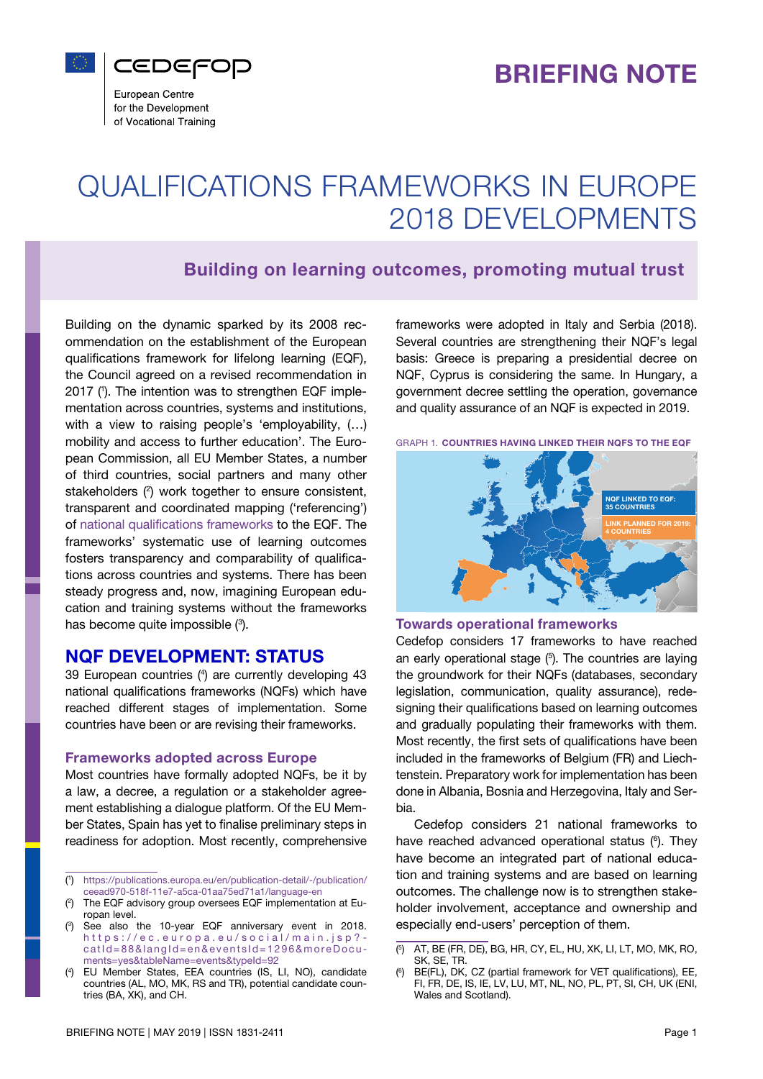

# BRIEFING NOTE

# QUALIFICATIONS FRAMEWORKS IN EUROPE 2018 DEVELOPMENTS

# Building on learning outcomes, promoting mutual trust

Building on the dynamic sparked by its 2008 recommendation on the establishment of the European qualifications framework for lifelong learning (EQF), the Council agreed on a revised recommendation in 2017 (<sup>1</sup>). The intention was to strengthen EQF implementation across countries, systems and institutions, with a view to raising people's 'employability, (…) mobility and access to further education'. The European Commission, all EU Member States, a number of third countries, social partners and many other stakeholders (<sup>2</sup> ) work together to ensure consistent, transparent and coordinated mapping ('referencing') of [national qualifications frameworks](http://www.cedefop.europa.eu/en/events-and-projects/projects/national-qualifications-framework-nqf) to the EQF. The frameworks' systematic use of learning outcomes fosters transparency and comparability of qualifications across countries and systems. There has been steady progress and, now, imagining European education and training systems without the frameworks has become quite impossible (3).

# NQF DEVELOPMENT: STATUS

39 European countries (<sup>4</sup> ) are currently developing 43 national qualifications frameworks (NQFs) which have reached different stages of implementation. Some countries have been or are revising their frameworks.

#### Frameworks adopted across Europe

Most countries have formally adopted NQFs, be it by a law, a decree, a regulation or a stakeholder agreement establishing a dialogue platform. Of the EU Member States, Spain has yet to finalise preliminary steps in readiness for adoption. Most recently, comprehensive frameworks were adopted in Italy and Serbia (2018). Several countries are strengthening their NQF's legal basis: Greece is preparing a presidential decree on NQF, Cyprus is considering the same. In Hungary, a government decree settling the operation, governance and quality assurance of an NQF is expected in 2019.

GRAPH 1. COUNTRIES HAVING LINKED THEIR NQFS TO THE EQF



#### Towards operational frameworks

Cedefop considers 17 frameworks to have reached an early operational stage (5). The countries are laying the groundwork for their NQFs (databases, secondary legislation, communication, quality assurance), redesigning their qualifications based on learning outcomes and gradually populating their frameworks with them. Most recently, the first sets of qualifications have been included in the frameworks of Belgium (FR) and Liechtenstein. Preparatory work for implementation has been done in Albania, Bosnia and Herzegovina, Italy and Serbia.

Cedefop considers 21 national frameworks to have reached advanced operational status (<sup>6</sup>). They have become an integrated part of national education and training systems and are based on learning outcomes. The challenge now is to strengthen stakeholder involvement, acceptance and ownership and especially end-users' perception of them.

<sup>(</sup> 1 ) https://publications.europa.eu/en/publication-detail/-/publication/ ceead970-518f-11e7-a5ca-01aa75ed71a1/language-en

<sup>(</sup> 2 ) The EQF advisory group oversees EQF implementation at Europan level.

<sup>(</sup> 3 ) See also the 10-year EQF anniversary event in 2018. [https://ec.europa.eu/social/main.jsp?](https://ec.europa.eu/social/main.jsp?catId=88&langId=en&eventsId=1296&moreDocuments=yes&tableName=events&typeId=92) [catId=88&langId=en&eventsId=1296&moreDocu](https://ec.europa.eu/social/main.jsp?catId=88&langId=en&eventsId=1296&moreDocuments=yes&tableName=events&typeId=92)[ments=yes&tableName=events&typeId=92](https://ec.europa.eu/social/main.jsp?catId=88&langId=en&eventsId=1296&moreDocuments=yes&tableName=events&typeId=92)

<sup>(</sup> 4 ) EU Member States, EEA countries (IS, LI, NO), candidate countries (AL, MO, MK, RS and TR), potential candidate countries (BA, XK), and CH.

<sup>(</sup> 5 ) AT, BE (FR, DE), BG, HR, CY, EL, HU, XK, LI, LT, MO, MK, RO, SK, SE, TR.

<sup>(</sup> 6 ) BE(FL), DK, CZ (partial framework for VET qualifications), EE, FI, FR, DE, IS, IE, LV, LU, MT, NL, NO, PL, PT, SI, CH, UK (ENI, Wales and Scotland).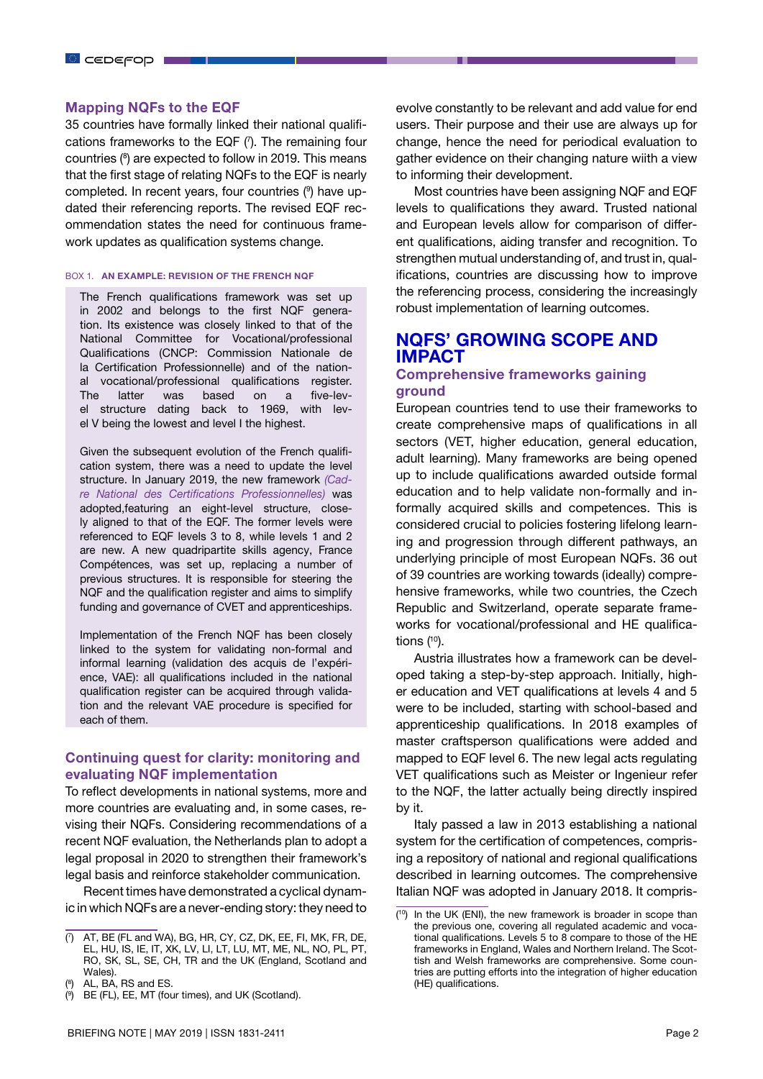#### Mapping NQFs to the EQF

35 countries have formally linked their national qualifications frameworks to the EQF  $($ <sup> $)$ </sup>. The remaining four countries  $(8)$  are expected to follow in 2019. This means that the first stage of relating NQFs to the EQF is nearly completed. In recent years, four countries (9) have updated their referencing reports. The revised EQF recommendation states the need for continuous framework updates as qualification systems change.

#### BOX 1. AN EXAMPLE: REVISION OF THE FRENCH NQF

The French qualifications framework was set up in 2002 and belongs to the first NQF generation. Its existence was closely linked to that of the National Committee for Vocational/professional Qualifications (CNCP: Commission Nationale de la Certification Professionnelle) and of the national vocational/professional qualifications register. The latter was based on a five-level structure dating back to 1969, with level V being the lowest and level I the highest.

Given the subsequent evolution of the French qualification system, there was a need to update the level structure. In January 2019, the new framework *([Cad](https://travail-emploi.gouv.fr/formation-professionnelle/acteurs-cadre-et-qualite-de-la-formation-professionnelle/cadre-national-certifications-professionnelles)[re National des Certifications Professionnelles\)](https://travail-emploi.gouv.fr/formation-professionnelle/acteurs-cadre-et-qualite-de-la-formation-professionnelle/cadre-national-certifications-professionnelles)* was adopted,featuring an eight-level structure, closely aligned to that of the EQF. The former levels were referenced to EQF levels 3 to 8, while levels 1 and 2 are new. A new quadripartite skills agency, France Compétences, was set up, replacing a number of previous structures. It is responsible for steering the NQF and the qualification register and aims to simplify funding and governance of CVET and apprenticeships.

Implementation of the French NQF has been closely linked to the system for validating non-formal and informal learning (validation des acquis de l'expérience, VAE): all qualifications included in the national qualification register can be acquired through validation and the relevant VAE procedure is specified for each of them.

## Continuing quest for clarity: monitoring and evaluating NQF implementation

To reflect developments in national systems, more and more countries are evaluating and, in some cases, revising their NQFs. Considering recommendations of a recent NQF evaluation, the Netherlands plan to adopt a legal proposal in 2020 to strengthen their framework's legal basis and reinforce stakeholder communication.

Recent times have demonstrated a cyclical dynamic in which NQFs are a never-ending story: they need to

evolve constantly to be relevant and add value for end users. Their purpose and their use are always up for change, hence the need for periodical evaluation to gather evidence on their changing nature wiith a view to informing their development.

Most countries have been assigning NQF and EQF levels to qualifications they award. Trusted national and European levels allow for comparison of different qualifications, aiding transfer and recognition. To strengthen mutual understanding of, and trust in, qualifications, countries are discussing how to improve the referencing process, considering the increasingly robust implementation of learning outcomes.

# NQFS' GROWING SCOPE AND IMPACT

## Comprehensive frameworks gaining ground

European countries tend to use their frameworks to create comprehensive maps of qualifications in all sectors (VET, higher education, general education, adult learning). Many frameworks are being opened up to include qualifications awarded outside formal education and to help validate non-formally and informally acquired skills and competences. This is considered crucial to policies fostering lifelong learning and progression through different pathways, an underlying principle of most European NQFs. 36 out of 39 countries are working towards (ideally) comprehensive frameworks, while two countries, the Czech Republic and Switzerland, operate separate frameworks for vocational/professional and HE qualifications (<sup>10</sup>).

Austria illustrates how a framework can be developed taking a step-by-step approach. Initially, higher education and VET qualifications at levels 4 and 5 were to be included, starting with school-based and apprenticeship qualifications. In 2018 examples of master craftsperson qualifications were added and mapped to EQF level 6. The new legal acts regulating VET qualifications such as Meister or Ingenieur refer to the NQF, the latter actually being directly inspired by it.

Italy passed a law in 2013 establishing a national system for the certification of competences, comprising a repository of national and regional qualifications described in learning outcomes. The comprehensive Italian NQF was adopted in January 2018. It compris-

<sup>(</sup> 7 ) AT, BE (FL and WA), BG, HR, CY, CZ, DK, EE, FI, MK, FR, DE, EL, HU, IS, IE, IT, XK, LV, LI, LT, LU, MT, ME, NL, NO, PL, PT, RO, SK, SL, SE, CH, TR and the UK (England, Scotland and Wales).

<sup>(</sup> 8 ) AL, BA, RS and ES.

<sup>(</sup> 9 BE (FL), EE, MT (four times), and UK (Scotland).

<sup>(</sup> In the UK (ENI), the new framework is broader in scope than the previous one, covering all regulated academic and vocational qualifications. Levels 5 to 8 compare to those of the HE frameworks in England, Wales and Northern Ireland. The Scottish and Welsh frameworks are comprehensive. Some countries are putting efforts into the integration of higher education (HE) qualifications.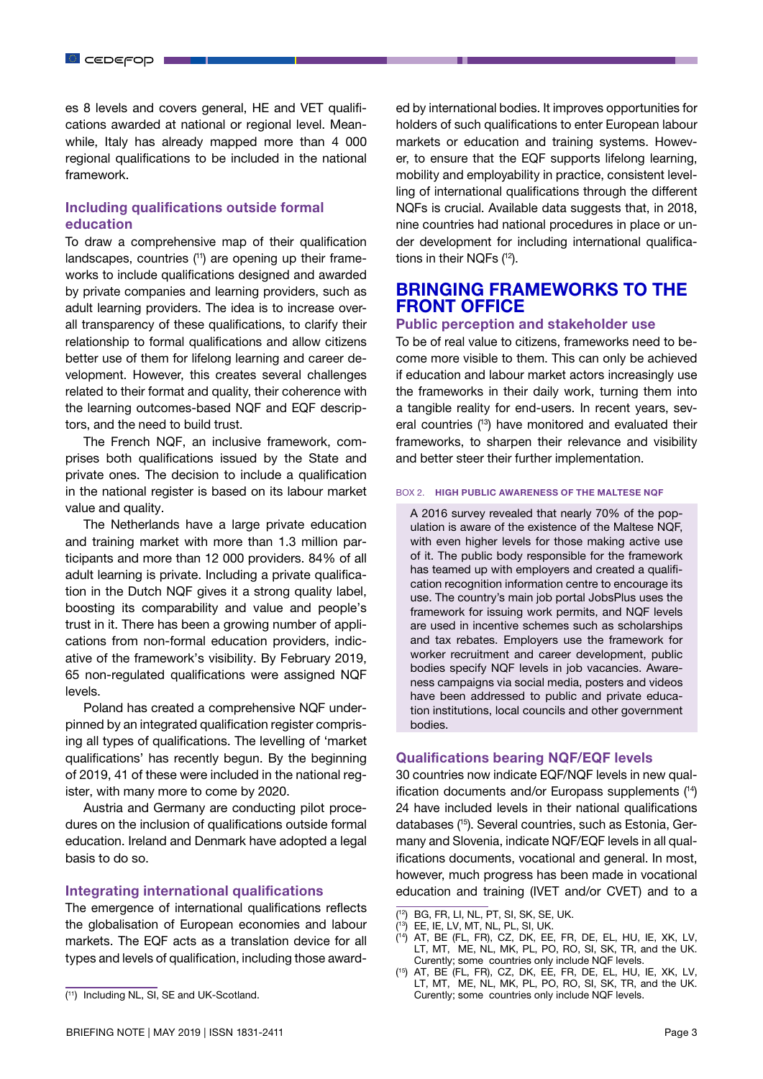es 8 levels and covers general, HE and VET qualifications awarded at national or regional level. Meanwhile, Italy has already mapped more than 4 000 regional qualifications to be included in the national framework.

## Including qualifications outside formal education

To draw a comprehensive map of their qualification landscapes, countries (<sup>11</sup>) are opening up their frameworks to include qualifications designed and awarded by private companies and learning providers, such as adult learning providers. The idea is to increase overall transparency of these qualifications, to clarify their relationship to formal qualifications and allow citizens better use of them for lifelong learning and career development. However, this creates several challenges related to their format and quality, their coherence with the learning outcomes-based NQF and EQF descriptors, and the need to build trust.

The French NQF, an inclusive framework, comprises both qualifications issued by the State and private ones. The decision to include a qualification in the national register is based on its labour market value and quality.

The Netherlands have a large private education and training market with more than 1.3 million participants and more than 12 000 providers. 84% of all adult learning is private. Including a private qualification in the Dutch NQF gives it a strong quality label, boosting its comparability and value and people's trust in it. There has been a growing number of applications from non-formal education providers, indicative of the framework's visibility. By February 2019, 65 non-regulated qualifications were assigned NQF levels.

Poland has created a comprehensive NQF underpinned by an integrated qualification register comprising all types of qualifications. The levelling of 'market qualifications' has recently begun. By the beginning of 2019, 41 of these were included in the national register, with many more to come by 2020.

Austria and Germany are conducting pilot procedures on the inclusion of qualifications outside formal education. Ireland and Denmark have adopted a legal basis to do so.

#### Integrating international qualifications

The emergence of international qualifications reflects the globalisation of European economies and labour markets. The EQF acts as a translation device for all types and levels of qualification, including those award-

ed by international bodies. It improves opportunities for holders of such qualifications to enter European labour markets or education and training systems. However, to ensure that the EQF supports lifelong learning, mobility and employability in practice, consistent levelling of international qualifications through the different NQFs is crucial. Available data suggests that, in 2018, nine countries had national procedures in place or under development for including international qualifications in their NQFs (<sup>12</sup>).

# BRINGING FRAMEWORKS TO THE FRONT OFFICE

#### Public perception and stakeholder use

To be of real value to citizens, frameworks need to become more visible to them. This can only be achieved if education and labour market actors increasingly use the frameworks in their daily work, turning them into a tangible reality for end-users. In recent years, several countries (<sup>13</sup>) have monitored and evaluated their frameworks, to sharpen their relevance and visibility and better steer their further implementation.

#### BOX 2. HIGH PUBLIC AWARENESS OF THE MALTESE NQF

A 2016 survey revealed that nearly 70% of the population is aware of the existence of the Maltese NQF, with even higher levels for those making active use of it. The public body responsible for the framework has teamed up with employers and created a qualification recognition information centre to encourage its use. The country's main job portal JobsPlus uses the framework for issuing work permits, and NQF levels are used in incentive schemes such as scholarships and tax rebates. Employers use the framework for worker recruitment and career development, public bodies specify NQF levels in job vacancies. Awareness campaigns via social media, posters and videos have been addressed to public and private education institutions, local councils and other government bodies.

#### Qualifications bearing NQF/EQF levels

30 countries now indicate EQF/NQF levels in new qualification documents and/or Europass supplements (<sup>14</sup>) 24 have included levels in their national qualifications databases (15). Several countries, such as Estonia, Germany and Slovenia, indicate NQF/EQF levels in all qualifications documents, vocational and general. In most, however, much progress has been made in vocational education and training (IVET and/or CVET) and to a

<sup>(</sup> 11) Including NL, SI, SE and UK-Scotland.

<sup>(</sup> 12) BG, FR, LI, NL, PT, SI, SK, SE, UK.

<sup>(</sup> 13) EE, IE, LV, MT, NL, PL, SI, UK.

<sup>(</sup> 14) AT, BE (FL, FR), CZ, DK, EE, FR, DE, EL, HU, IE, XK, LV, LT, MT, ME, NL, MK, PL, PO, RO, SI, SK, TR, and the UK. Curently; some countries only include NQF levels.

<sup>(</sup> 15) AT, BE (FL, FR), CZ, DK, EE, FR, DE, EL, HU, IE, XK, LV, LT, MT, ME, NL, MK, PL, PO, RO, SI, SK, TR, and the UK. Curently; some countries only include NQF levels.